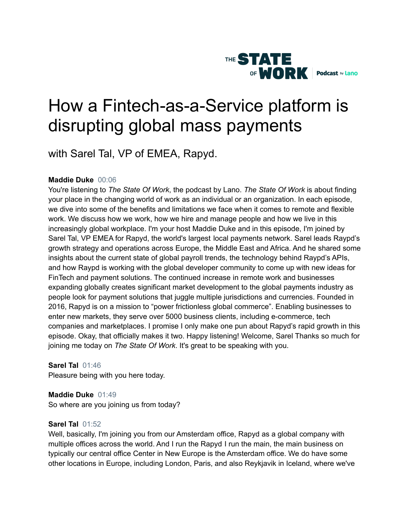

# How a Fintech-as-a-Service platform is disrupting global mass payments

with Sarel Tal, VP of EMEA, Rapyd.

# **Maddie Duke** 00:06

You're listening to *The State Of Work*, the podcast by Lano. *The State Of Work* is about finding your place in the changing world of work as an individual or an organization. In each episode, we dive into some of the benefits and limitations we face when it comes to remote and flexible work. We discuss how we work, how we hire and manage people and how we live in this increasingly global workplace. I'm your host Maddie Duke and in this episode, I'm joined by Sarel Tal, VP EMEA for Rapyd, the world's largest local payments network. Sarel leads Raypd's growth strategy and operations across Europe, the Middle East and Africa. And he shared some insights about the current state of global payroll trends, the technology behind Raypd's APIs, and how Raypd is working with the global developer community to come up with new ideas for FinTech and payment solutions. The continued increase in remote work and businesses expanding globally creates significant market development to the global payments industry as people look for payment solutions that juggle multiple jurisdictions and currencies. Founded in 2016, Rapyd is on a mission to "power frictionless global commerce". Enabling businesses to enter new markets, they serve over 5000 business clients, including e-commerce, tech companies and marketplaces. I promise I only make one pun about Rapyd's rapid growth in this episode. Okay, that officially makes it two. Happy listening! Welcome, Sarel Thanks so much for joining me today on *The State Of Work*. It's great to be speaking with you.

**Sarel Tal** 01:46 Pleasure being with you here today.

**Maddie Duke** 01:49 So where are you joining us from today?

## **Sarel Tal** 01:52

Well, basically, I'm joining you from our Amsterdam office, Rapyd as a global company with multiple offices across the world. And I run the Rapyd I run the main, the main business on typically our central office Center in New Europe is the Amsterdam office. We do have some other locations in Europe, including London, Paris, and also Reykjavik in Iceland, where we've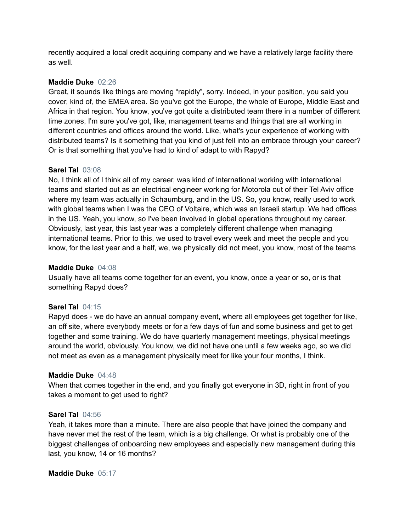recently acquired a local credit acquiring company and we have a relatively large facility there as well.

## **Maddie Duke** 02:26

Great, it sounds like things are moving "rapidly", sorry. Indeed, in your position, you said you cover, kind of, the EMEA area. So you've got the Europe, the whole of Europe, Middle East and Africa in that region. You know, you've got quite a distributed team there in a number of different time zones, I'm sure you've got, like, management teams and things that are all working in different countries and offices around the world. Like, what's your experience of working with distributed teams? Is it something that you kind of just fell into an embrace through your career? Or is that something that you've had to kind of adapt to with Rapyd?

# **Sarel Tal** 03:08

No, I think all of I think all of my career, was kind of international working with international teams and started out as an electrical engineer working for Motorola out of their Tel Aviv office where my team was actually in Schaumburg, and in the US. So, you know, really used to work with global teams when I was the CEO of Voltaire, which was an Israeli startup. We had offices in the US. Yeah, you know, so I've been involved in global operations throughout my career. Obviously, last year, this last year was a completely different challenge when managing international teams. Prior to this, we used to travel every week and meet the people and you know, for the last year and a half, we, we physically did not meet, you know, most of the teams

## **Maddie Duke** 04:08

Usually have all teams come together for an event, you know, once a year or so, or is that something Rapyd does?

# **Sarel Tal** 04:15

Rapyd does - we do have an annual company event, where all employees get together for like, an off site, where everybody meets or for a few days of fun and some business and get to get together and some training. We do have quarterly management meetings, physical meetings around the world, obviously. You know, we did not have one until a few weeks ago, so we did not meet as even as a management physically meet for like your four months, I think.

## **Maddie Duke** 04:48

When that comes together in the end, and you finally got everyone in 3D, right in front of you takes a moment to get used to right?

## **Sarel Tal** 04:56

Yeah, it takes more than a minute. There are also people that have joined the company and have never met the rest of the team, which is a big challenge. Or what is probably one of the biggest challenges of onboarding new employees and especially new management during this last, you know, 14 or 16 months?

## **Maddie Duke** 05:17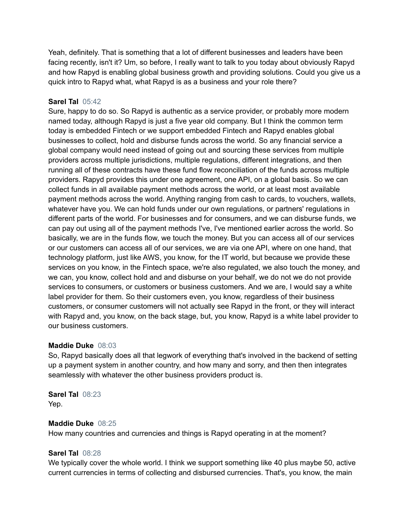Yeah, definitely. That is something that a lot of different businesses and leaders have been facing recently, isn't it? Um, so before, I really want to talk to you today about obviously Rapyd and how Rapyd is enabling global business growth and providing solutions. Could you give us a quick intro to Rapyd what, what Rapyd is as a business and your role there?

## **Sarel Tal** 05:42

Sure, happy to do so. So Rapyd is authentic as a service provider, or probably more modern named today, although Rapyd is just a five year old company. But I think the common term today is embedded Fintech or we support embedded Fintech and Rapyd enables global businesses to collect, hold and disburse funds across the world. So any financial service a global company would need instead of going out and sourcing these services from multiple providers across multiple jurisdictions, multiple regulations, different integrations, and then running all of these contracts have these fund flow reconciliation of the funds across multiple providers. Rapyd provides this under one agreement, one API, on a global basis. So we can collect funds in all available payment methods across the world, or at least most available payment methods across the world. Anything ranging from cash to cards, to vouchers, wallets, whatever have you. We can hold funds under our own regulations, or partners' regulations in different parts of the world. For businesses and for consumers, and we can disburse funds, we can pay out using all of the payment methods I've, I've mentioned earlier across the world. So basically, we are in the funds flow, we touch the money. But you can access all of our services or our customers can access all of our services, we are via one API, where on one hand, that technology platform, just like AWS, you know, for the IT world, but because we provide these services on you know, in the Fintech space, we're also regulated, we also touch the money, and we can, you know, collect hold and and disburse on your behalf, we do not we do not provide services to consumers, or customers or business customers. And we are, I would say a white label provider for them. So their customers even, you know, regardless of their business customers, or consumer customers will not actually see Rapyd in the front, or they will interact with Rapyd and, you know, on the back stage, but, you know, Rapyd is a white label provider to our business customers.

## **Maddie Duke** 08:03

So, Rapyd basically does all that legwork of everything that's involved in the backend of setting up a payment system in another country, and how many and sorry, and then then integrates seamlessly with whatever the other business providers product is.

**Sarel Tal** 08:23 Yep.

#### **Maddie Duke** 08:25

How many countries and currencies and things is Rapyd operating in at the moment?

## **Sarel Tal** 08:28

We typically cover the whole world. I think we support something like 40 plus maybe 50, active current currencies in terms of collecting and disbursed currencies. That's, you know, the main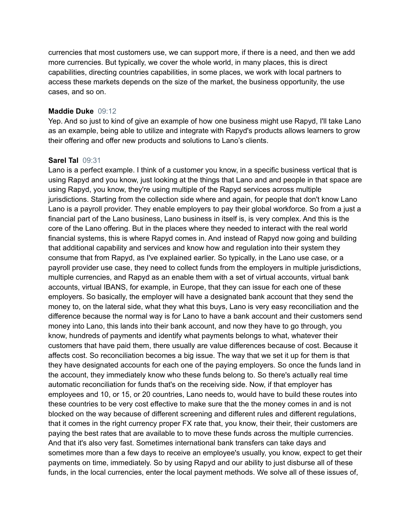currencies that most customers use, we can support more, if there is a need, and then we add more currencies. But typically, we cover the whole world, in many places, this is direct capabilities, directing countries capabilities, in some places, we work with local partners to access these markets depends on the size of the market, the business opportunity, the use cases, and so on.

#### **Maddie Duke** 09:12

Yep. And so just to kind of give an example of how one business might use Rapyd, I'll take Lano as an example, being able to utilize and integrate with Rapyd's products allows learners to grow their offering and offer new products and solutions to Lano's clients.

## **Sarel Tal** 09:31

Lano is a perfect example. I think of a customer you know, in a specific business vertical that is using Rapyd and you know, just looking at the things that Lano and and people in that space are using Rapyd, you know, they're using multiple of the Rapyd services across multiple jurisdictions. Starting from the collection side where and again, for people that don't know Lano Lano is a payroll provider. They enable employers to pay their global workforce. So from a just a financial part of the Lano business, Lano business in itself is, is very complex. And this is the core of the Lano offering. But in the places where they needed to interact with the real world financial systems, this is where Rapyd comes in. And instead of Rapyd now going and building that additional capability and services and know how and regulation into their system they consume that from Rapyd, as I've explained earlier. So typically, in the Lano use case, or a payroll provider use case, they need to collect funds from the employers in multiple jurisdictions, multiple currencies, and Rapyd as an enable them with a set of virtual accounts, virtual bank accounts, virtual IBANS, for example, in Europe, that they can issue for each one of these employers. So basically, the employer will have a designated bank account that they send the money to, on the lateral side, what they what this buys, Lano is very easy reconciliation and the difference because the normal way is for Lano to have a bank account and their customers send money into Lano, this lands into their bank account, and now they have to go through, you know, hundreds of payments and identify what payments belongs to what, whatever their customers that have paid them, there usually are value differences because of cost. Because it affects cost. So reconciliation becomes a big issue. The way that we set it up for them is that they have designated accounts for each one of the paying employers. So once the funds land in the account, they immediately know who these funds belong to. So there's actually real time automatic reconciliation for funds that's on the receiving side. Now, if that employer has employees and 10, or 15, or 20 countries, Lano needs to, would have to build these routes into these countries to be very cost effective to make sure that the the money comes in and is not blocked on the way because of different screening and different rules and different regulations, that it comes in the right currency proper FX rate that, you know, their their, their customers are paying the best rates that are available to to move these funds across the multiple currencies. And that it's also very fast. Sometimes international bank transfers can take days and sometimes more than a few days to receive an employee's usually, you know, expect to get their payments on time, immediately. So by using Rapyd and our ability to just disburse all of these funds, in the local currencies, enter the local payment methods. We solve all of these issues of,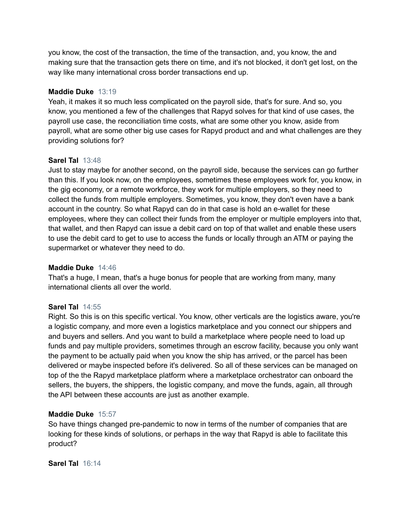you know, the cost of the transaction, the time of the transaction, and, you know, the and making sure that the transaction gets there on time, and it's not blocked, it don't get lost, on the way like many international cross border transactions end up.

#### **Maddie Duke** 13:19

Yeah, it makes it so much less complicated on the payroll side, that's for sure. And so, you know, you mentioned a few of the challenges that Rapyd solves for that kind of use cases, the payroll use case, the reconciliation time costs, what are some other you know, aside from payroll, what are some other big use cases for Rapyd product and and what challenges are they providing solutions for?

#### **Sarel Tal** 13:48

Just to stay maybe for another second, on the payroll side, because the services can go further than this. If you look now, on the employees, sometimes these employees work for, you know, in the gig economy, or a remote workforce, they work for multiple employers, so they need to collect the funds from multiple employers. Sometimes, you know, they don't even have a bank account in the country. So what Rapyd can do in that case is hold an e-wallet for these employees, where they can collect their funds from the employer or multiple employers into that, that wallet, and then Rapyd can issue a debit card on top of that wallet and enable these users to use the debit card to get to use to access the funds or locally through an ATM or paying the supermarket or whatever they need to do.

#### **Maddie Duke** 14:46

That's a huge, I mean, that's a huge bonus for people that are working from many, many international clients all over the world.

## **Sarel Tal** 14:55

Right. So this is on this specific vertical. You know, other verticals are the logistics aware, you're a logistic company, and more even a logistics marketplace and you connect our shippers and and buyers and sellers. And you want to build a marketplace where people need to load up funds and pay multiple providers, sometimes through an escrow facility, because you only want the payment to be actually paid when you know the ship has arrived, or the parcel has been delivered or maybe inspected before it's delivered. So all of these services can be managed on top of the the Rapyd marketplace platform where a marketplace orchestrator can onboard the sellers, the buyers, the shippers, the logistic company, and move the funds, again, all through the API between these accounts are just as another example.

#### **Maddie Duke** 15:57

So have things changed pre-pandemic to now in terms of the number of companies that are looking for these kinds of solutions, or perhaps in the way that Rapyd is able to facilitate this product?

**Sarel Tal** 16:14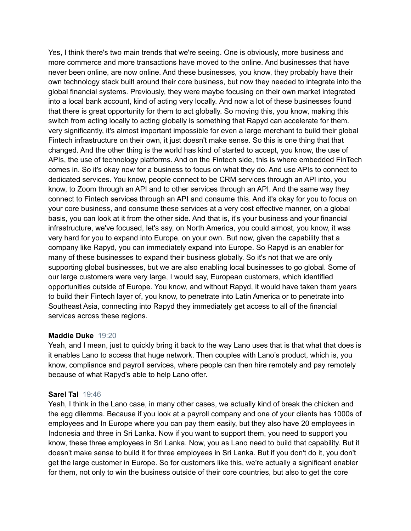Yes, I think there's two main trends that we're seeing. One is obviously, more business and more commerce and more transactions have moved to the online. And businesses that have never been online, are now online. And these businesses, you know, they probably have their own technology stack built around their core business, but now they needed to integrate into the global financial systems. Previously, they were maybe focusing on their own market integrated into a local bank account, kind of acting very locally. And now a lot of these businesses found that there is great opportunity for them to act globally. So moving this, you know, making this switch from acting locally to acting globally is something that Rapyd can accelerate for them. very significantly, it's almost important impossible for even a large merchant to build their global Fintech infrastructure on their own, it just doesn't make sense. So this is one thing that that changed. And the other thing is the world has kind of started to accept, you know, the use of APIs, the use of technology platforms. And on the Fintech side, this is where embedded FinTech comes in. So it's okay now for a business to focus on what they do. And use APIs to connect to dedicated services. You know, people connect to be CRM services through an API into, you know, to Zoom through an API and to other services through an API. And the same way they connect to Fintech services through an API and consume this. And it's okay for you to focus on your core business, and consume these services at a very cost effective manner, on a global basis, you can look at it from the other side. And that is, it's your business and your financial infrastructure, we've focused, let's say, on North America, you could almost, you know, it was very hard for you to expand into Europe, on your own. But now, given the capability that a company like Rapyd, you can immediately expand into Europe. So Rapyd is an enabler for many of these businesses to expand their business globally. So it's not that we are only supporting global businesses, but we are also enabling local businesses to go global. Some of our large customers were very large, I would say, European customers, which identified opportunities outside of Europe. You know, and without Rapyd, it would have taken them years to build their Fintech layer of, you know, to penetrate into Latin America or to penetrate into Southeast Asia, connecting into Rapyd they immediately get access to all of the financial services across these regions.

#### **Maddie Duke** 19:20

Yeah, and I mean, just to quickly bring it back to the way Lano uses that is that what that does is it enables Lano to access that huge network. Then couples with Lano's product, which is, you know, compliance and payroll services, where people can then hire remotely and pay remotely because of what Rapyd's able to help Lano offer.

#### **Sarel Tal** 19:46

Yeah, I think in the Lano case, in many other cases, we actually kind of break the chicken and the egg dilemma. Because if you look at a payroll company and one of your clients has 1000s of employees and In Europe where you can pay them easily, but they also have 20 employees in Indonesia and three in Sri Lanka. Now if you want to support them, you need to support you know, these three employees in Sri Lanka. Now, you as Lano need to build that capability. But it doesn't make sense to build it for three employees in Sri Lanka. But if you don't do it, you don't get the large customer in Europe. So for customers like this, we're actually a significant enabler for them, not only to win the business outside of their core countries, but also to get the core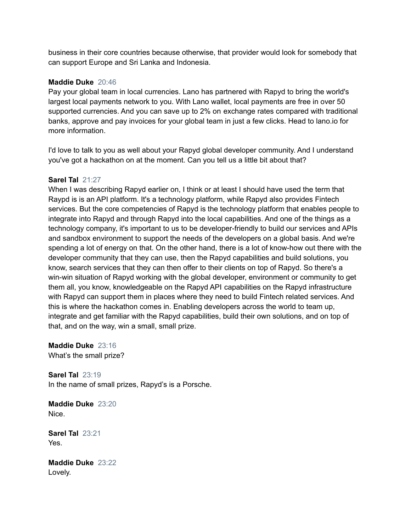business in their core countries because otherwise, that provider would look for somebody that can support Europe and Sri Lanka and Indonesia.

## **Maddie Duke** 20:46

Pay your global team in local currencies. Lano has partnered with Rapyd to bring the world's largest local payments network to you. With Lano wallet, local payments are free in over 50 supported currencies. And you can save up to 2% on exchange rates compared with traditional banks, approve and pay invoices for your global team in just a few clicks. Head to lano.io for more information.

I'd love to talk to you as well about your Rapyd global developer community. And I understand you've got a hackathon on at the moment. Can you tell us a little bit about that?

## **Sarel Tal** 21:27

When I was describing Rapyd earlier on, I think or at least I should have used the term that Raypd is is an API platform. It's a technology platform, while Rapyd also provides Fintech services. But the core competencies of Rapyd is the technology platform that enables people to integrate into Rapyd and through Rapyd into the local capabilities. And one of the things as a technology company, it's important to us to be developer-friendly to build our services and APIs and sandbox environment to support the needs of the developers on a global basis. And we're spending a lot of energy on that. On the other hand, there is a lot of know-how out there with the developer community that they can use, then the Rapyd capabilities and build solutions, you know, search services that they can then offer to their clients on top of Rapyd. So there's a win-win situation of Rapyd working with the global developer, environment or community to get them all, you know, knowledgeable on the Rapyd API capabilities on the Rapyd infrastructure with Rapyd can support them in places where they need to build Fintech related services. And this is where the hackathon comes in. Enabling developers across the world to team up, integrate and get familiar with the Rapyd capabilities, build their own solutions, and on top of that, and on the way, win a small, small prize.

**Maddie Duke** 23:16 What's the small prize?

**Sarel Tal** 23:19 In the name of small prizes, Rapyd's is a Porsche.

**Maddie Duke** 23:20 Nice.

**Sarel Tal** 23:21 Yes.

**Maddie Duke** 23:22 Lovely.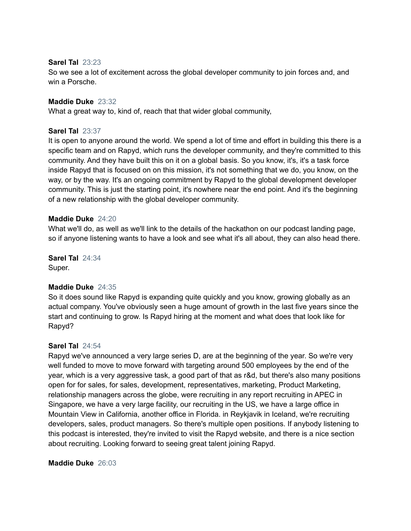#### **Sarel Tal** 23:23

So we see a lot of excitement across the global developer community to join forces and, and win a Porsche.

#### **Maddie Duke** 23:32

What a great way to, kind of, reach that that wider global community,

#### **Sarel Tal** 23:37

It is open to anyone around the world. We spend a lot of time and effort in building this there is a specific team and on Rapyd, which runs the developer community, and they're committed to this community. And they have built this on it on a global basis. So you know, it's, it's a task force inside Rapyd that is focused on on this mission, it's not something that we do, you know, on the way, or by the way. It's an ongoing commitment by Rapyd to the global development developer community. This is just the starting point, it's nowhere near the end point. And it's the beginning of a new relationship with the global developer community.

#### **Maddie Duke** 24:20

What we'll do, as well as we'll link to the details of the hackathon on our podcast landing page, so if anyone listening wants to have a look and see what it's all about, they can also head there.

**Sarel Tal** 24:34 Super.

## **Maddie Duke** 24:35

So it does sound like Rapyd is expanding quite quickly and you know, growing globally as an actual company. You've obviously seen a huge amount of growth in the last five years since the start and continuing to grow. Is Rapyd hiring at the moment and what does that look like for Rapyd?

#### **Sarel Tal** 24:54

Rapyd we've announced a very large series D, are at the beginning of the year. So we're very well funded to move to move forward with targeting around 500 employees by the end of the year, which is a very aggressive task, a good part of that as r&d, but there's also many positions open for for sales, for sales, development, representatives, marketing, Product Marketing, relationship managers across the globe, were recruiting in any report recruiting in APEC in Singapore, we have a very large facility, our recruiting in the US, we have a large office in Mountain View in California, another office in Florida. in Reykjavik in Iceland, we're recruiting developers, sales, product managers. So there's multiple open positions. If anybody listening to this podcast is interested, they're invited to visit the Rapyd website, and there is a nice section about recruiting. Looking forward to seeing great talent joining Rapyd.

#### **Maddie Duke** 26:03